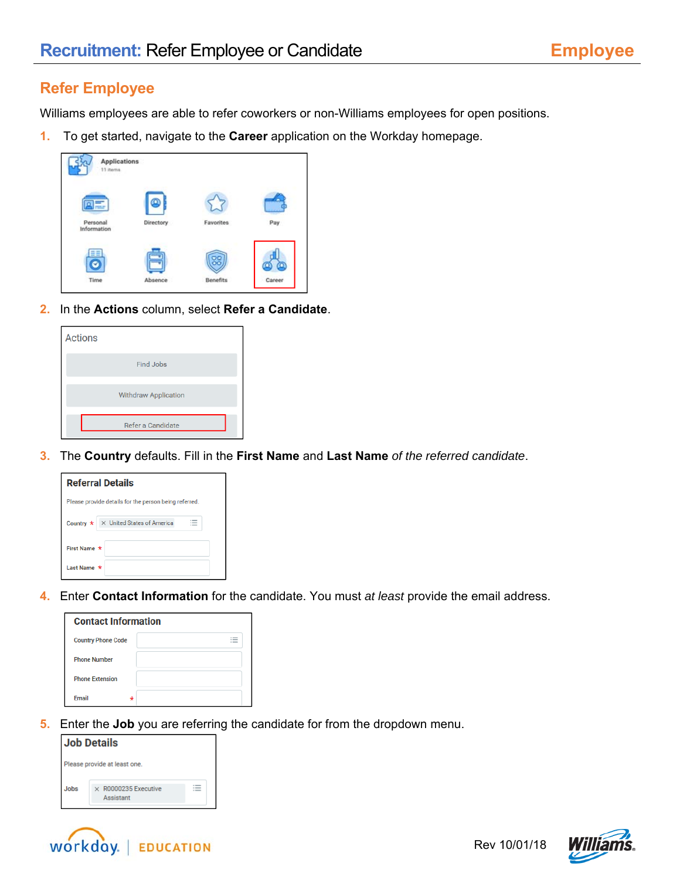## **Refer Employee**

Williams employees are able to refer coworkers or non-Williams employees for open positions.

**1.** To get started, navigate to the **Career** application on the Workday homepage.



**2.** In the **Actions** column, select **Refer a Candidate**.

| <b>Actions</b>              |
|-----------------------------|
| <b>Find Jobs</b>            |
| <b>Withdraw Application</b> |
| Refer a Candidate           |

**3.** The **Country** defaults. Fill in the **First Name** and **Last Name** *of the referred candidate*.

| <b>Referral Details</b>                               |  |  |  |  |  |
|-------------------------------------------------------|--|--|--|--|--|
| Please provide details for the person being referred. |  |  |  |  |  |
| Country $\star \times$ United States of America       |  |  |  |  |  |
| First Name *                                          |  |  |  |  |  |
| Last Name *                                           |  |  |  |  |  |

**4.** Enter **Contact Information** for the candidate. You must *at least* provide the email address.

| <b>Contact Information</b> |   |  |  |  |
|----------------------------|---|--|--|--|
| <b>Country Phone Code</b>  |   |  |  |  |
| <b>Phone Number</b>        |   |  |  |  |
| <b>Phone Extension</b>     |   |  |  |  |
| <b>Fmail</b>               | ÷ |  |  |  |

**5.** Enter the **Job** you are referring the candidate for from the dropdown menu.

| <b>Job Details</b>           |                                          |  |  |  |  |
|------------------------------|------------------------------------------|--|--|--|--|
| Please provide at least one. |                                          |  |  |  |  |
| Jobs                         | $\times$ R0000235 Executive<br>Assistant |  |  |  |  |



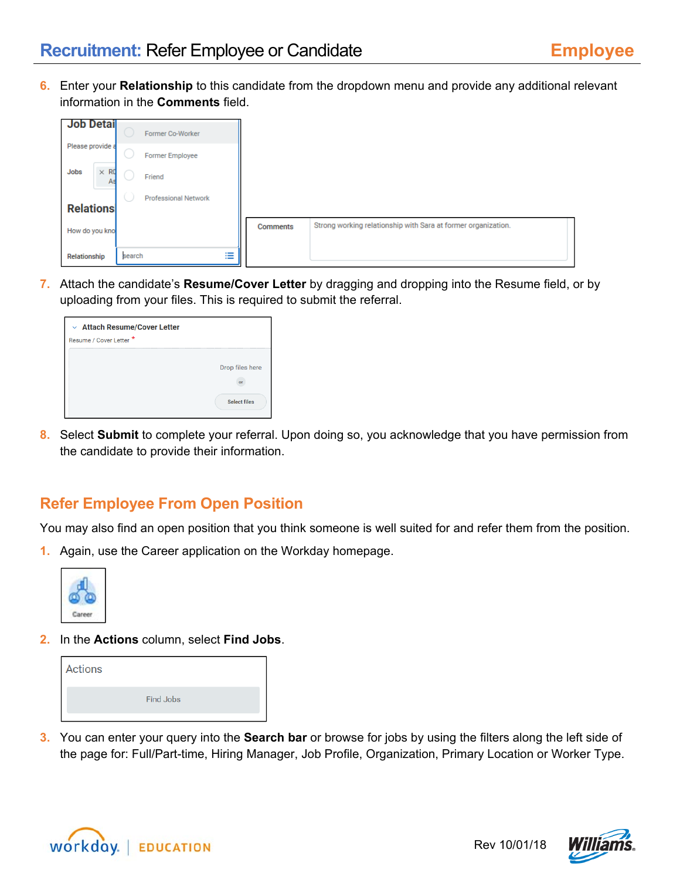**6.** Enter your **Relationship** to this candidate from the dropdown menu and provide any additional relevant information in the **Comments** field.

| <b>Job Detail</b>         |        | Former Co-Worker            |   |                 |                                                               |
|---------------------------|--------|-----------------------------|---|-----------------|---------------------------------------------------------------|
| Please provide a          |        | <b>Former Employee</b>      |   |                 |                                                               |
| $\times$ RO<br>Jobs<br>As |        | Friend                      |   |                 |                                                               |
| <b>Relations</b>          |        | <b>Professional Network</b> |   |                 |                                                               |
| How do you kno            |        |                             |   | <b>Comments</b> | Strong working relationship with Sara at former organization. |
| Relationship              | search |                             | 洼 |                 |                                                               |

**7.** Attach the candidate's **Resume/Cover Letter** by dragging and dropping into the Resume field, or by uploading from your files. This is required to submit the referral.

| $\vee$ Attach Resume/Cover Letter<br>Resume / Cover Letter * |                     |
|--------------------------------------------------------------|---------------------|
|                                                              | Drop files here     |
|                                                              | <b>Select files</b> |

**8.** Select **Submit** to complete your referral. Upon doing so, you acknowledge that you have permission from the candidate to provide their information.

## **Refer Employee From Open Position**

You may also find an open position that you think someone is well suited for and refer them from the position.

**1.** Again, use the Career application on the Workday homepage.



**2.** In the **Actions** column, select **Find Jobs**.

| <b>Actions</b> |           |  |
|----------------|-----------|--|
|                | Find Jobs |  |

**3.** You can enter your query into the **Search bar** or browse for jobs by using the filters along the left side of the page for: Full/Part-time, Hiring Manager, Job Profile, Organization, Primary Location or Worker Type.